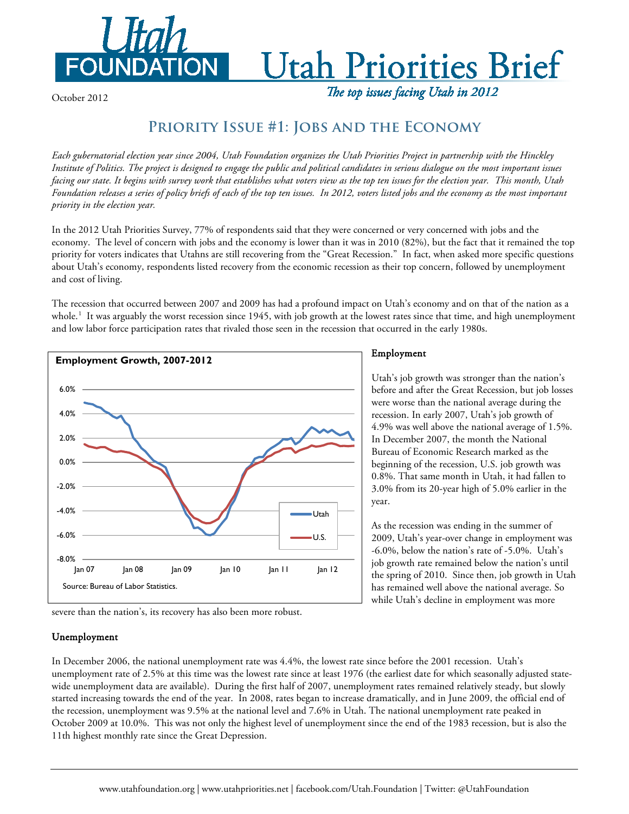

# **Utah Priorities Brief**

October 2012

The top issues facing Utah in 2012

## **Priority Issue #1: Jobs and the Economy**

*Each gubernatorial election year since 2004, Utah Foundation organizes the Utah Priorities Project in partnership with the Hinckley Institute of Politics. The project is designed to engage the public and political candidates in serious dialogue on the most important issues facing our state. It begins with survey work that establishes what voters view as the top ten issues for the election year. This month, Utah Foundation releases a series of policy briefs of each of the top ten issues. In 2012, voters listed jobs and the economy as the most important priority in the election year.* 

In the 2012 Utah Priorities Survey, 77% of respondents said that they were concerned or very concerned with jobs and the economy. The level of concern with jobs and the economy is lower than it was in 2010 (82%), but the fact that it remained the top priority for voters indicates that Utahns are still recovering from the "Great Recession." In fact, when asked more specific questions about Utah's economy, respondents listed recovery from the economic recession as their top concern, followed by unemployment and cost of living.

The recession that occurred between 2007 and 2009 has had a profound impact on Utah's economy and on that of the nation as a whole.<sup>[1](#page-1-0)</sup> It was arguably the worst recession since 1945, with job growth at the lowest rates since that time, and high unemployment and low labor force participation rates that rivaled those seen in the recession that occurred in the early 1980s.



Employment

Utah's job growth was stronger than the nation's before and after the Great Recession, but job losses were worse than the national average during the recession. In early 2007, Utah's job growth of 4.9% was well above the national average of 1.5%. In December 2007, the month the National Bureau of Economic Research marked as the beginning of the recession, U.S. job growth was 0.8%. That same month in Utah, it had fallen to 3.0% from its 20-year high of 5.0% earlier in the year.

As the recession was ending in the summer of 2009, Utah's year-over change in employment was -6.0%, below the nation's rate of -5.0%. Utah's job growth rate remained below the nation's until the spring of 2010. Since then, job growth in Utah has remained well above the national average. So while Utah's decline in employment was more

severe than the nation's, its recovery has also been more robust.

### Unemployment

In December 2006, the national unemployment rate was 4.4%, the lowest rate since before the 2001 recession. Utah's unemployment rate of 2.5% at this time was the lowest rate since at least 1976 (the earliest date for which seasonally adjusted statewide unemployment data are available). During the first half of 2007, unemployment rates remained relatively steady, but slowly started increasing towards the end of the year. In 2008, rates began to increase dramatically, and in June 2009, the official end of the recession, unemployment was 9.5% at the national level and 7.6% in Utah. The national unemployment rate peaked in October 2009 at 10.0%. This was not only the highest level of unemployment since the end of the 1983 recession, but is also the 11th highest monthly rate since the Great Depression.